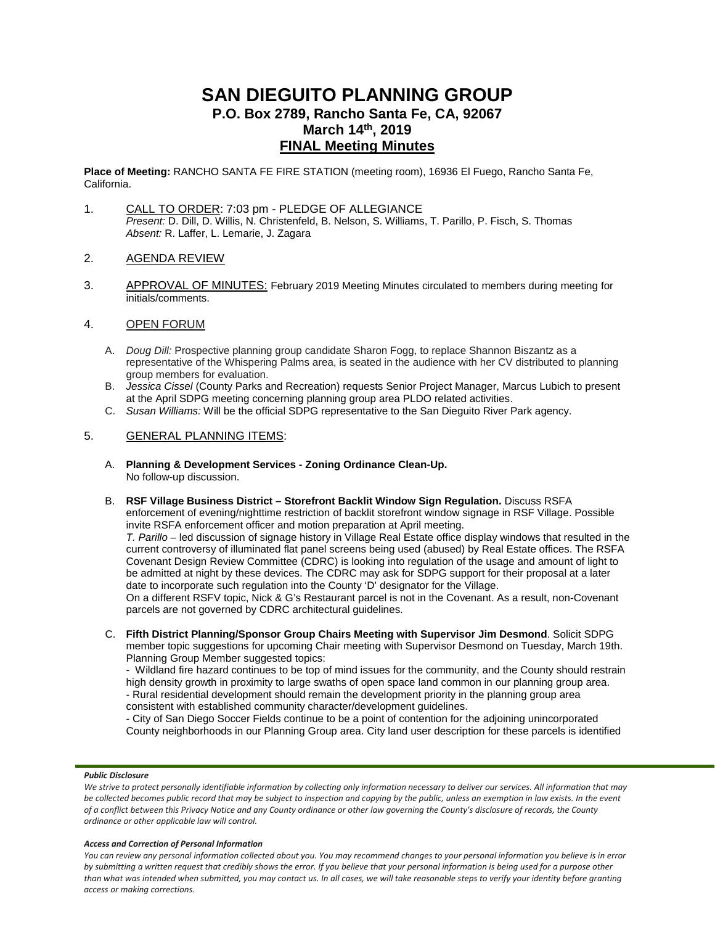# **SAN DIEGUITO PLANNING GROUP P.O. Box 2789, Rancho Santa Fe, CA, 92067 March 14th, 2019 FINAL Meeting Minutes**

**Place of Meeting:** RANCHO SANTA FE FIRE STATION (meeting room), 16936 El Fuego, Rancho Santa Fe, California.

- 1. CALL TO ORDER: 7:03 pm PLEDGE OF ALLEGIANCE *Present:* D. Dill, D. Willis, N. Christenfeld, B. Nelson, S. Williams, T. Parillo, P. Fisch, S. Thomas *Absent:* R. Laffer, L. Lemarie, J. Zagara
- 2. AGENDA REVIEW
- 3. APPROVAL OF MINUTES: February 2019 Meeting Minutes circulated to members during meeting for initials/comments.

## 4. OPEN FORUM

- A. *Doug Dill:* Prospective planning group candidate Sharon Fogg, to replace Shannon Biszantz as a representative of the Whispering Palms area, is seated in the audience with her CV distributed to planning group members for evaluation.
- B. *Jessica Cissel* (County Parks and Recreation) requests Senior Project Manager, Marcus Lubich to present at the April SDPG meeting concerning planning group area PLDO related activities.
- C. *Susan Williams:* Will be the official SDPG representative to the San Dieguito River Park agency.

## 5. GENERAL PLANNING ITEMS:

- A. **Planning & Development Services - Zoning Ordinance Clean-Up.** No follow-up discussion.
- B. **RSF Village Business District – Storefront Backlit Window Sign Regulation.** Discuss RSFA enforcement of evening/nighttime restriction of backlit storefront window signage in RSF Village. Possible invite RSFA enforcement officer and motion preparation at April meeting.

*T. Parillo* – led discussion of signage history in Village Real Estate office display windows that resulted in the current controversy of illuminated flat panel screens being used (abused) by Real Estate offices. The RSFA Covenant Design Review Committee (CDRC) is looking into regulation of the usage and amount of light to be admitted at night by these devices. The CDRC may ask for SDPG support for their proposal at a later date to incorporate such regulation into the County 'D' designator for the Village.

On a different RSFV topic, Nick & G's Restaurant parcel is not in the Covenant. As a result, non-Covenant parcels are not governed by CDRC architectural guidelines.

C. **Fifth District Planning/Sponsor Group Chairs Meeting with Supervisor Jim Desmond**. Solicit SDPG member topic suggestions for upcoming Chair meeting with Supervisor Desmond on Tuesday, March 19th. Planning Group Member suggested topics:

- Wildland fire hazard continues to be top of mind issues for the community, and the County should restrain high density growth in proximity to large swaths of open space land common in our planning group area. - Rural residential development should remain the development priority in the planning group area consistent with established community character/development guidelines.

- City of San Diego Soccer Fields continue to be a point of contention for the adjoining unincorporated County neighborhoods in our Planning Group area. City land user description for these parcels is identified

### *Public Disclosure*

We strive to protect personally identifiable information by collecting only information necessary to deliver our services. All information that may *be collected becomes public record that may be subject to inspection and copying by the public, unless an exemption in law exists. In the event of a conflict between this Privacy Notice and any County ordinance or other law governing the County's disclosure of records, the County ordinance or other applicable law will control.*

#### *Access and Correction of Personal Information*

*You can review any personal information collected about you. You may recommend changes to your personal information you believe is in error by submitting a written request that credibly shows the error. If you believe that your personal information is being used for a purpose other than what was intended when submitted, you may contact us. In all cases, we will take reasonable steps to verify your identity before granting access or making corrections.*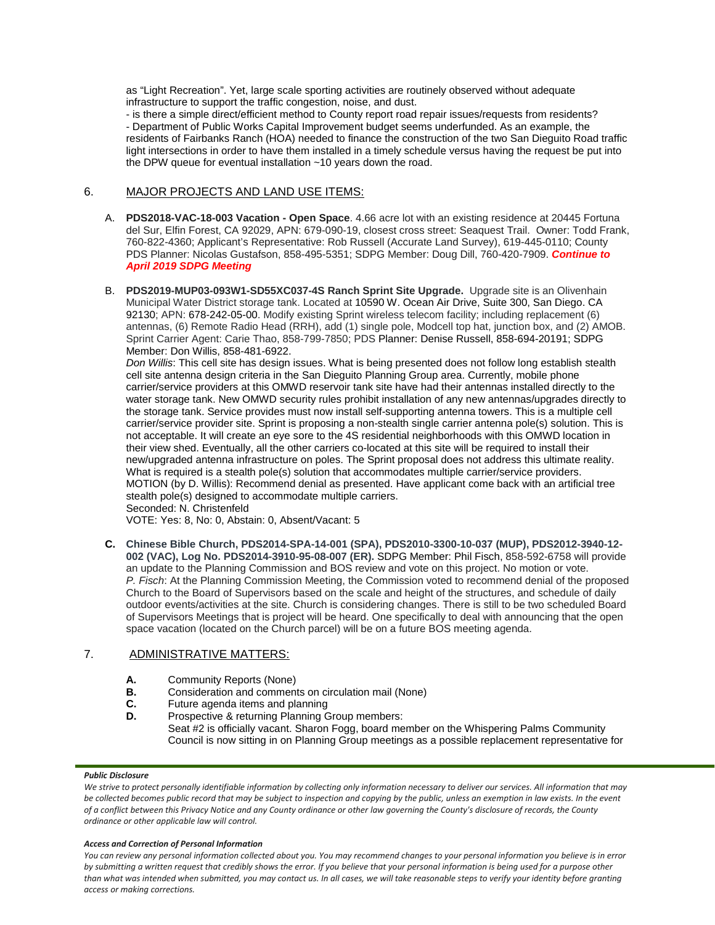as "Light Recreation". Yet, large scale sporting activities are routinely observed without adequate infrastructure to support the traffic congestion, noise, and dust.

- is there a simple direct/efficient method to County report road repair issues/requests from residents? - Department of Public Works Capital Improvement budget seems underfunded. As an example, the residents of Fairbanks Ranch (HOA) needed to finance the construction of the two San Dieguito Road traffic light intersections in order to have them installed in a timely schedule versus having the request be put into the DPW queue for eventual installation ~10 years down the road.

# 6. MAJOR PROJECTS AND LAND USE ITEMS:

- A. **PDS2018-VAC-18-003 Vacation - Open Space**. 4.66 acre lot with an existing residence at 20445 Fortuna del Sur, Elfin Forest, CA 92029, APN: 679-090-19, closest cross street: Seaquest Trail. Owner: Todd Frank, 760-822-4360; Applicant's Representative: Rob Russell (Accurate Land Survey), 619-445-0110; County PDS Planner: Nicolas Gustafson, 858-495-5351; SDPG Member: Doug Dill, 760-420-7909. *Continue to April 2019 SDPG Meeting*
- B. **PDS2019-MUP03-093W1-SD55XC037-4S Ranch Sprint Site Upgrade.** Upgrade site is an Olivenhain Municipal Water District storage tank. Located at 10590 W. Ocean Air Drive, Suite 300, San Diego. CA 92130; APN: 678-242-05-00. Modify existing Sprint wireless telecom facility; including replacement (6) antennas, (6) Remote Radio Head (RRH), add (1) single pole, Modcell top hat, junction box, and (2) AMOB. Sprint Carrier Agent: Carie Thao, 858-799-7850; PDS Planner: Denise Russell, 858-694-20191; SDPG Member: Don Willis, 858-481-6922.

*Don Willis*: This cell site has design issues. What is being presented does not follow long establish stealth cell site antenna design criteria in the San Dieguito Planning Group area. Currently, mobile phone carrier/service providers at this OMWD reservoir tank site have had their antennas installed directly to the water storage tank. New OMWD security rules prohibit installation of any new antennas/upgrades directly to the storage tank. Service provides must now install self-supporting antenna towers. This is a multiple cell carrier/service provider site. Sprint is proposing a non-stealth single carrier antenna pole(s) solution. This is not acceptable. It will create an eye sore to the 4S residential neighborhoods with this OMWD location in their view shed. Eventually, all the other carriers co-located at this site will be required to install their new/upgraded antenna infrastructure on poles. The Sprint proposal does not address this ultimate reality. What is required is a stealth pole(s) solution that accommodates multiple carrier/service providers. MOTION (by D. Willis): Recommend denial as presented. Have applicant come back with an artificial tree stealth pole(s) designed to accommodate multiple carriers.

Seconded: N. Christenfeld

VOTE: Yes: 8, No: 0, Abstain: 0, Absent/Vacant: 5

**C. Chinese Bible Church, PDS2014-SPA-14-001 (SPA), PDS2010-3300-10-037 (MUP), PDS2012-3940-12- 002 (VAC), Log No. PDS2014-3910-95-08-007 (ER).** SDPG Member: Phil Fisch, 858-592-6758 will provide an update to the Planning Commission and BOS review and vote on this project. No motion or vote. *P. Fisch*: At the Planning Commission Meeting, the Commission voted to recommend denial of the proposed Church to the Board of Supervisors based on the scale and height of the structures, and schedule of daily outdoor events/activities at the site. Church is considering changes. There is still to be two scheduled Board of Supervisors Meetings that is project will be heard. One specifically to deal with announcing that the open space vacation (located on the Church parcel) will be on a future BOS meeting agenda.

# 7. ADMINISTRATIVE MATTERS:

- **A.** Community Reports (None)<br>**B.** Consideration and comment
- **B.** Consideration and comments on circulation mail (None)<br>**C.** Future agenda items and planning
- **C.** Future agenda items and planning<br>**D.** Prospective & returning Planning G.
- Prospective & returning Planning Group members: Seat #2 is officially vacant. Sharon Fogg, board member on the Whispering Palms Community Council is now sitting in on Planning Group meetings as a possible replacement representative for

### *Public Disclosure*

We strive to protect personally identifiable information by collecting only information necessary to deliver our services. All information that may *be collected becomes public record that may be subject to inspection and copying by the public, unless an exemption in law exists. In the event of a conflict between this Privacy Notice and any County ordinance or other law governing the County's disclosure of records, the County ordinance or other applicable law will control.*

### *Access and Correction of Personal Information*

*You can review any personal information collected about you. You may recommend changes to your personal information you believe is in error by submitting a written request that credibly shows the error. If you believe that your personal information is being used for a purpose other than what was intended when submitted, you may contact us. In all cases, we will take reasonable steps to verify your identity before granting access or making corrections.*